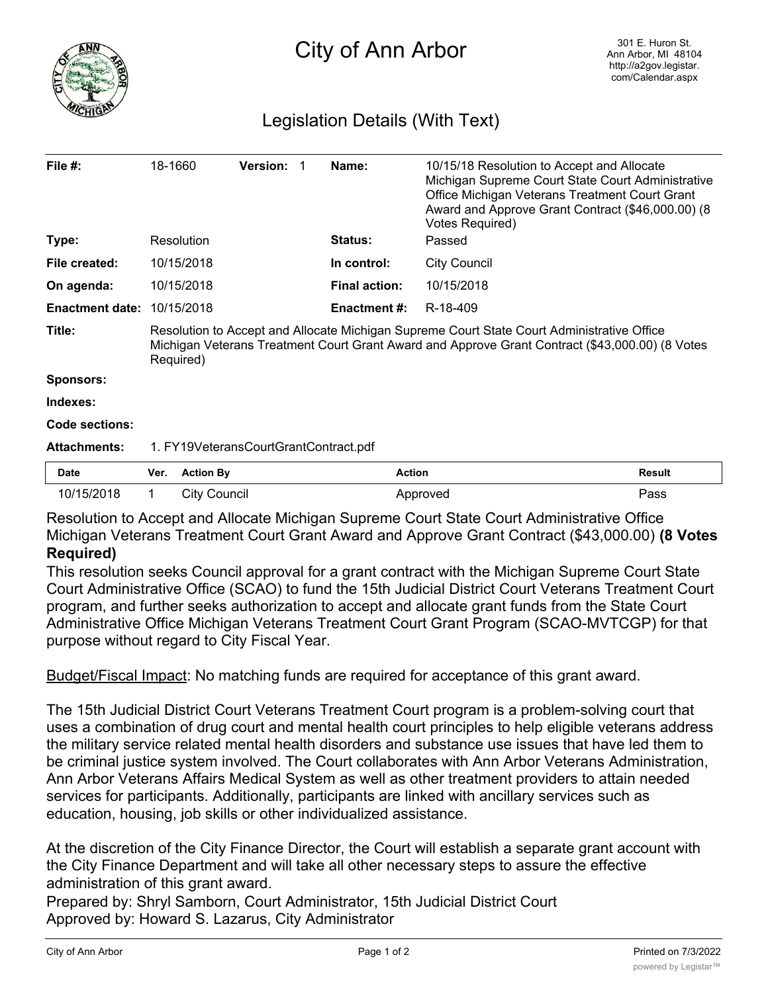

## Legislation Details (With Text)

| File #:                           | 18-1660                                                                                                                                                                                                    | <b>Version:</b>  |  | Name:                | 10/15/18 Resolution to Accept and Allocate<br>Michigan Supreme Court State Court Administrative<br>Office Michigan Veterans Treatment Court Grant<br>Award and Approve Grant Contract (\$46,000.00) (8<br><b>Votes Required)</b> |               |
|-----------------------------------|------------------------------------------------------------------------------------------------------------------------------------------------------------------------------------------------------------|------------------|--|----------------------|----------------------------------------------------------------------------------------------------------------------------------------------------------------------------------------------------------------------------------|---------------|
| Type:                             | Resolution                                                                                                                                                                                                 |                  |  | <b>Status:</b>       | Passed                                                                                                                                                                                                                           |               |
| File created:                     | 10/15/2018                                                                                                                                                                                                 |                  |  | In control:          | <b>City Council</b>                                                                                                                                                                                                              |               |
| On agenda:                        | 10/15/2018                                                                                                                                                                                                 |                  |  | <b>Final action:</b> | 10/15/2018                                                                                                                                                                                                                       |               |
| <b>Enactment date: 10/15/2018</b> |                                                                                                                                                                                                            |                  |  | <b>Enactment #:</b>  | R-18-409                                                                                                                                                                                                                         |               |
| Title:                            | Resolution to Accept and Allocate Michigan Supreme Court State Court Administrative Office<br>Michigan Veterans Treatment Court Grant Award and Approve Grant Contract (\$43,000.00) (8 Votes<br>Required) |                  |  |                      |                                                                                                                                                                                                                                  |               |
| Sponsors:                         |                                                                                                                                                                                                            |                  |  |                      |                                                                                                                                                                                                                                  |               |
| Indexes:                          |                                                                                                                                                                                                            |                  |  |                      |                                                                                                                                                                                                                                  |               |
| <b>Code sections:</b>             |                                                                                                                                                                                                            |                  |  |                      |                                                                                                                                                                                                                                  |               |
| <b>Attachments:</b>               | 1. FY19VeteransCourtGrantContract.pdf                                                                                                                                                                      |                  |  |                      |                                                                                                                                                                                                                                  |               |
| <b>Date</b>                       | Ver.                                                                                                                                                                                                       | <b>Action By</b> |  | <b>Action</b>        |                                                                                                                                                                                                                                  | <b>Result</b> |
| 10/15/2018                        |                                                                                                                                                                                                            | City Council     |  |                      | Approved                                                                                                                                                                                                                         | Pass          |

Resolution to Accept and Allocate Michigan Supreme Court State Court Administrative Office Michigan Veterans Treatment Court Grant Award and Approve Grant Contract (\$43,000.00) **(8 Votes Required)**

This resolution seeks Council approval for a grant contract with the Michigan Supreme Court State Court Administrative Office (SCAO) to fund the 15th Judicial District Court Veterans Treatment Court program, and further seeks authorization to accept and allocate grant funds from the State Court Administrative Office Michigan Veterans Treatment Court Grant Program (SCAO-MVTCGP) for that purpose without regard to City Fiscal Year.

Budget/Fiscal Impact: No matching funds are required for acceptance of this grant award.

The 15th Judicial District Court Veterans Treatment Court program is a problem-solving court that uses a combination of drug court and mental health court principles to help eligible veterans address the military service related mental health disorders and substance use issues that have led them to be criminal justice system involved. The Court collaborates with Ann Arbor Veterans Administration, Ann Arbor Veterans Affairs Medical System as well as other treatment providers to attain needed services for participants. Additionally, participants are linked with ancillary services such as education, housing, job skills or other individualized assistance.

At the discretion of the City Finance Director, the Court will establish a separate grant account with the City Finance Department and will take all other necessary steps to assure the effective administration of this grant award.

Prepared by: Shryl Samborn, Court Administrator, 15th Judicial District Court Approved by: Howard S. Lazarus, City Administrator